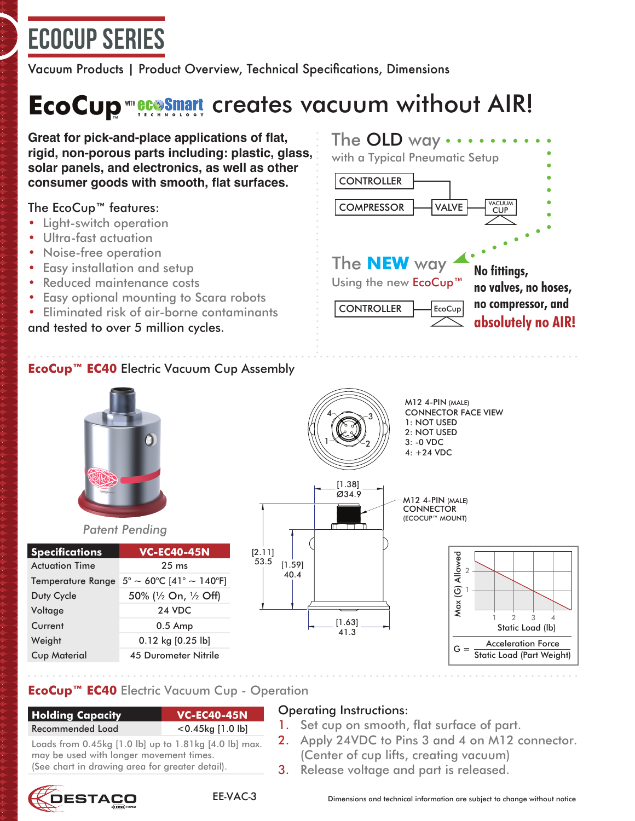# ECOCUP Series

Vacuum Products | Product Overview, Technical Specifications, Dimensions

# **EcoCup <del>WILECO</del>SMATL** creates vacuum without AIR!

**Great for pick-and-place applications of flat, rigid, non-porous parts including: plastic, glass, solar panels, and electronics, as well as other consumer goods with smooth, flat surfaces.** CONTROLLER

### The EcoCup™ features:

- Light-switch operation
- Ultra-fast actuation
- Noise-free operation
- Easy installation and setup
- Reduced maintenance costs
- Easy optional mounting to Scara robots
- Eliminated risk of air-borne contaminants and tested to over 5 million cycles.



## **EcoCup™ EC40** Electric Vacuum Cup Assembly



#### *Patent Pending*

| <b>Specifications</b>    | <b>VC-EC40-45N</b>               |
|--------------------------|----------------------------------|
| <b>Actuation Time</b>    | $25 \text{ ms}$                  |
| <b>Temperature Range</b> | $5^{\circ}$ ~ 60°C [41° ~ 140°F] |
| Duty Cycle               | 50% (1/2 On, 1/2 Off)            |
| Voltage                  | <b>24 VDC</b>                    |
| Current                  | $0.5$ Amp                        |
| Weight                   | $0.12$ kg $[0.25$ lb]            |
| <b>Cup Material</b>      | <b>45 Durometer Nitrile</b>      |



M12 4-PIN (MALE) CONNECTOR FACE VIEW 1: NOT USED 2: NOT USED 3: -0 VDC 4: +24 VDC

M12 4-PIN (MALE) **CONNECTOR** (ECOCUP™ MOUNT)



## **EcoCup™ EC40** Electric Vacuum Cup - Operation

#### **Holding Capacity VC-EC40-45N** Recomme

| nded Load | $<$ 0.45 $kg$ [1.0 lb] |
|-----------|------------------------|
|           |                        |

#### Loads from 0.45kg [1.0 lb] up to 1.81kg [4.0 lb] max. may be used with longer movement times. (See chart in drawina area for areater detail).

## Operating Instructions:

[1.63] 41.3

[1.59] 40.4

[2.11] 53.5

- 1. Set cup on smooth, flat surface of part.
- 2. Apply 24VDC to Pins 3 and 4 on M12 connector. (Center of cup lifts, creating vacuum)
- 3. Release voltage and part is released.